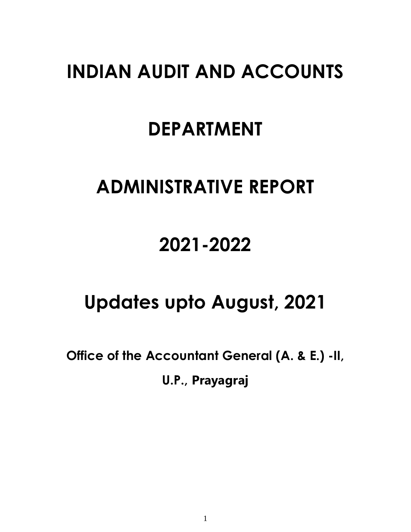# **INDIAN AUDIT AND ACCOUNTS**

# **DEPARTMENT**

# **ADMINISTRATIVE REPORT**

# **2021-2022**

# **Updates upto August, 2021**

**Office of the Accountant General (A. & E.) -II,** 

**U.P., Prayagraj**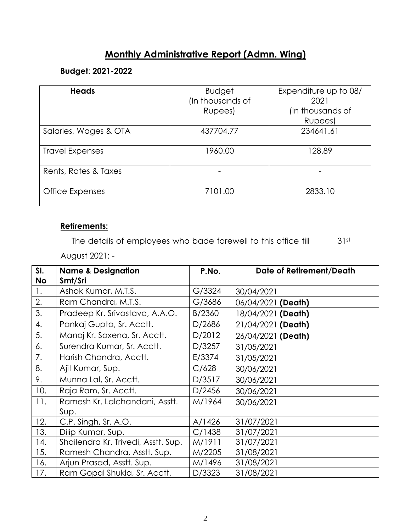# **Monthly Administrative Report (Admn. Wing)**

## **Budget**: **2021-2022**

| <b>Heads</b>           | <b>Budget</b><br>(In thousands of<br>Rupees) | Expenditure up to 08/<br>2021<br>(In thousands of<br>Rupees) |
|------------------------|----------------------------------------------|--------------------------------------------------------------|
| Salaries, Wages & OTA  | 437704.77                                    | 234641.61                                                    |
| <b>Travel Expenses</b> | 1960.00                                      | 128.89                                                       |
| Rents, Rates & Taxes   |                                              |                                                              |
| Office Expenses        | 7101.00                                      | 2833.10                                                      |

## **Retirements:**

The details of employees who bade farewell to this office till 31st

August 2021: -

| SI. | <b>Name &amp; Designation</b>       | P.No.  | <b>Date of Retirement/Death</b> |
|-----|-------------------------------------|--------|---------------------------------|
| No  | Smt/Sri                             |        |                                 |
| 1.  | Ashok Kumar, M.T.S.                 | G/3324 | 30/04/2021                      |
| 2.  | Ram Chandra, M.T.S.                 | G/3686 | 06/04/2021 (Death)              |
| 3.  | Pradeep Kr. Srivastava, A.A.O.      | B/2360 | 18/04/2021 (Death)              |
| 4.  | Pankaj Gupta, Sr. Acctt.            | D/2686 | 21/04/2021 (Death)              |
| 5.  | Manoj Kr. Saxena, Sr. Acctt.        | D/2012 | 26/04/2021 (Death)              |
| 6.  | Surendra Kumar, Sr. Acctt.          | D/3257 | 31/05/2021                      |
| 7.  | Harish Chandra, Acctt.              | E/3374 | 31/05/2021                      |
| 8.  | Ajit Kumar, Sup.                    | C/628  | 30/06/2021                      |
| 9.  | Munna Lal, Sr. Acctt.               | D/3517 | 30/06/2021                      |
| 10. | Raja Ram, Sr. Acctt.                | D/2456 | 30/06/2021                      |
| 11. | Ramesh Kr. Lalchandani, Asstt.      | M/1964 | 30/06/2021                      |
|     | Sup.                                |        |                                 |
| 12. | C.P. Singh, Sr. A.O.                | A/1426 | 31/07/2021                      |
| 13. | Dilip Kumar, Sup.                   | C/1438 | 31/07/2021                      |
| 14. | Shailendra Kr. Trivedi, Asstt. Sup. | M/1911 | 31/07/2021                      |
| 15. | Ramesh Chandra, Asstt. Sup.         | M/2205 | 31/08/2021                      |
| 16. | Arjun Prasad, Asstt. Sup.           | M/1496 | 31/08/2021                      |
| 17. | Ram Gopal Shukla, Sr. Acctt.        | D/3323 | 31/08/2021                      |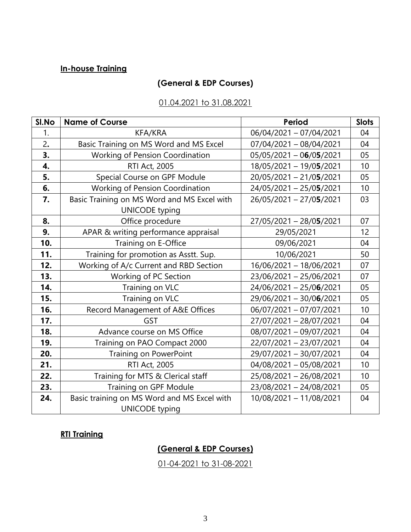## **In-house Training**

## **(General & EDP Courses)**

### 01.04.2021 to 31.08.2021

| SI.No | <b>Name of Course</b>                       | <b>Period</b>             | <b>Slots</b> |
|-------|---------------------------------------------|---------------------------|--------------|
| 1.    | KFA/KRA                                     | 06/04/2021 - 07/04/2021   | 04           |
| 2.    | Basic Training on MS Word and MS Excel      | 07/04/2021 - 08/04/2021   | 04           |
| 3.    | <b>Working of Pension Coordination</b>      | $05/05/2021 - 06/05/2021$ | 05           |
| 4.    | RTI Act, 2005                               | 18/05/2021 - 19/05/2021   | 10           |
| 5.    | Special Course on GPF Module                | 20/05/2021 - 21/05/2021   | 05           |
| 6.    | Working of Pension Coordination             | 24/05/2021 - 25/05/2021   | 10           |
| 7.    | Basic Training on MS Word and MS Excel with | 26/05/2021 - 27/05/2021   | 03           |
|       | <b>UNICODE</b> typing                       |                           |              |
| 8.    | Office procedure                            | 27/05/2021 - 28/05/2021   | 07           |
| 9.    | APAR & writing performance appraisal        | 29/05/2021                | 12           |
| 10.   | Training on E-Office                        | 09/06/2021                | 04           |
| 11.   | Training for promotion as Asstt. Sup.       | 10/06/2021                | 50           |
| 12.   | Working of A/c Current and RBD Section      | 16/06/2021 - 18/06/2021   | 07           |
| 13.   | Working of PC Section                       | 23/06/2021 - 25/06/2021   | 07           |
| 14.   | Training on VLC                             | 24/06/2021 - 25/06/2021   | 05           |
| 15.   | Training on VLC                             | 29/06/2021 - 30/06/2021   | 05           |
| 16.   | Record Management of A&E Offices            | 06/07/2021 - 07/07/2021   | 10           |
| 17.   | <b>GST</b>                                  | 27/07/2021 - 28/07/2021   | 04           |
| 18.   | Advance course on MS Office                 | 08/07/2021 - 09/07/2021   | 04           |
| 19.   | Training on PAO Compact 2000                | 22/07/2021 - 23/07/2021   | 04           |
| 20.   | Training on PowerPoint                      | 29/07/2021 - 30/07/2021   | 04           |
| 21.   | RTI Act, 2005                               | 04/08/2021 - 05/08/2021   | 10           |
| 22.   | Training for MTS & Clerical staff           | 25/08/2021 - 26/08/2021   | 10           |
| 23.   | Training on GPF Module                      | 23/08/2021 - 24/08/2021   | 05           |
| 24.   | Basic training on MS Word and MS Excel with | 10/08/2021 - 11/08/2021   | 04           |
|       | <b>UNICODE typing</b>                       |                           |              |

# **RTI Training**

## **(General & EDP Courses)**

01-04-2021 to 31-08-2021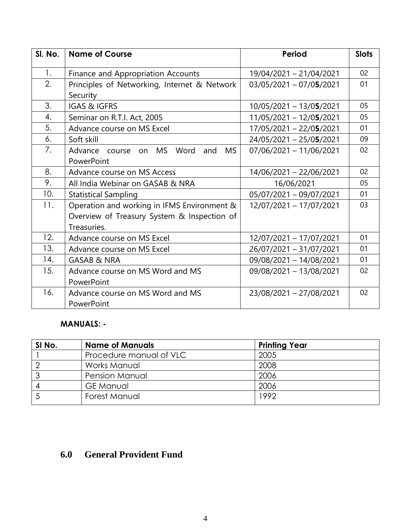| SI. No. | <b>Name of Course</b>                                                                                     | Period                    | <b>Slots</b> |
|---------|-----------------------------------------------------------------------------------------------------------|---------------------------|--------------|
| 1.      | Finance and Appropriation Accounts                                                                        | 19/04/2021 - 21/04/2021   | 02           |
| 2.      | Principles of Networking, Internet & Network<br>Security                                                  | $03/05/2021 - 07/05/2021$ | 01           |
| 3.      | <b>IGAS &amp; IGFRS</b>                                                                                   | 10/05/2021 - 13/05/2021   | 05           |
| 4.      | Seminar on R.T.I. Act, 2005                                                                               | 11/05/2021 - 12/05/2021   | 05           |
| 5.      | Advance course on MS Excel                                                                                | 17/05/2021 - 22/05/2021   | 01           |
| 6.      | Soft skill                                                                                                | 24/05/2021 - 25/05/2021   | 09           |
| 7.      | MS.<br>Word<br><b>MS</b><br>Advance course<br>and<br>on<br>PowerPoint                                     | 07/06/2021 - 11/06/2021   | 02           |
| 8.      | Advance course on MS Access                                                                               | 14/06/2021 - 22/06/2021   | 02           |
| 9.      | All India Webinar on GASAB & NRA                                                                          | 16/06/2021                | 05           |
| 10.     | <b>Statistical Sampling</b>                                                                               | 05/07/2021 - 09/07/2021   | 01           |
| 11.     | Operation and working in IFMS Environment &<br>Overview of Treasury System & Inspection of<br>Treasuries. | 12/07/2021 - 17/07/2021   | 03           |
| 12.     | Advance course on MS Excel                                                                                | 12/07/2021 - 17/07/2021   | 01           |
| 13.     | Advance course on MS Excel                                                                                | 26/07/2021 - 31/07/2021   | 01           |
| 14.     | <b>GASAB &amp; NRA</b>                                                                                    | 09/08/2021 - 14/08/2021   | 01           |
| 15.     | Advance course on MS Word and MS<br><b>PowerPoint</b>                                                     | 09/08/2021 - 13/08/2021   | 02           |
| 16.     | Advance course on MS Word and MS<br><b>PowerPoint</b>                                                     | 23/08/2021 - 27/08/2021   | 02           |

## **MANUALS: -**

| SI No. | <b>Name of Manuals</b>  | <b>Printing Year</b> |
|--------|-------------------------|----------------------|
|        | Procedure manual of VLC | 2005                 |
|        | <b>Works Manual</b>     | 2008                 |
|        | <b>Pension Manual</b>   | 2006                 |
|        | <b>GE Manual</b>        | 2006                 |
|        | Forest Manual           | 1992                 |

## **6.0 General Provident Fund**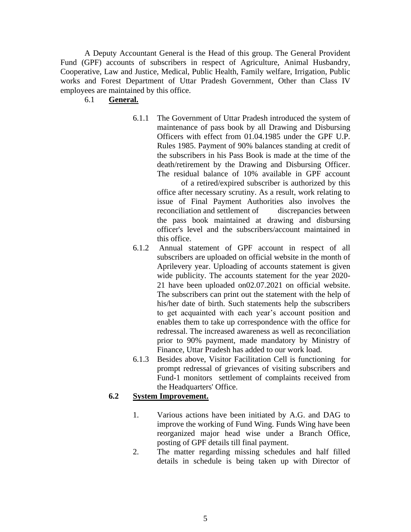A Deputy Accountant General is the Head of this group. The General Provident Fund (GPF) accounts of subscribers in respect of Agriculture, Animal Husbandry, Cooperative, Law and Justice, Medical, Public Health, Family welfare, Irrigation, Public works and Forest Department of Uttar Pradesh Government, Other than Class IV employees are maintained by this office.

### 6.1 **General.**

6.1.1 The Government of Uttar Pradesh introduced the system of maintenance of pass book by all Drawing and Disbursing Officers with effect from 01.04.1985 under the GPF U.P. Rules 1985. Payment of 90% balances standing at credit of the subscribers in his Pass Book is made at the time of the death/retirement by the Drawing and Disbursing Officer. The residual balance of 10% available in GPF account

> of a retired/expired subscriber is authorized by this office after necessary scrutiny. As a result, work relating to issue of Final Payment Authorities also involves the reconciliation and settlement of discrepancies between the pass book maintained at drawing and disbursing officer's level and the subscribers/account maintained in this office.

- 6.1.2 Annual statement of GPF account in respect of all subscribers are uploaded on official website in the month of Aprilevery year. Uploading of accounts statement is given wide publicity. The accounts statement for the year 2020- 21 have been uploaded on02.07.2021 on official website. The subscribers can print out the statement with the help of his/her date of birth. Such statements help the subscribers to get acquainted with each year's account position and enables them to take up correspondence with the office for redressal. The increased awareness as well as reconciliation prior to 90% payment, made mandatory by Ministry of Finance, Uttar Pradesh has added to our work load.
- 6.1.3 Besides above, Visitor Facilitation Cell is functioning for prompt redressal of grievances of visiting subscribers and Fund-1 monitors settlement of complaints received from the Headquarters' Office.

#### **6.2 System Improvement.**

- 1. Various actions have been initiated by A.G. and DAG to improve the working of Fund Wing. Funds Wing have been reorganized major head wise under a Branch Office, posting of GPF details till final payment.
- 2. The matter regarding missing schedules and half filled details in schedule is being taken up with Director of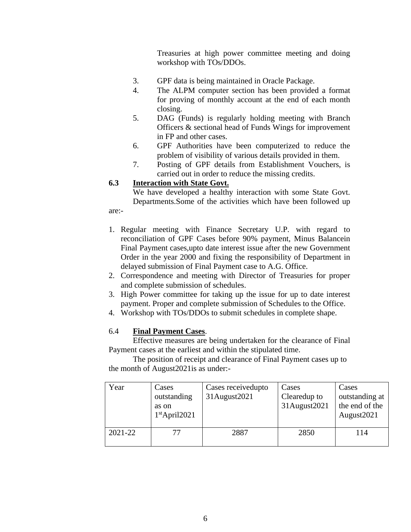Treasuries at high power committee meeting and doing workshop with TOs/DDOs.

- 3. GPF data is being maintained in Oracle Package.
- 4. The ALPM computer section has been provided a format for proving of monthly account at the end of each month closing.
- 5. DAG (Funds) is regularly holding meeting with Branch Officers & sectional head of Funds Wings for improvement in FP and other cases.
- 6. GPF Authorities have been computerized to reduce the problem of visibility of various details provided in them.
- 7. Posting of GPF details from Establishment Vouchers, is carried out in order to reduce the missing credits.

### **6.3 Interaction with State Govt.**

are:-

We have developed a healthy interaction with some State Govt. Departments.Some of the activities which have been followed up

- 1. Regular meeting with Finance Secretary U.P. with regard to reconciliation of GPF Cases before 90% payment, Minus Balancein Final Payment cases,upto date interest issue after the new Government Order in the year 2000 and fixing the responsibility of Department in delayed submission of Final Payment case to A.G. Office.
- 2. Correspondence and meeting with Director of Treasuries for proper and complete submission of schedules.
- 3. High Power committee for taking up the issue for up to date interest payment. Proper and complete submission of Schedules to the Office.
- 4. Workshop with TOs/DDOs to submit schedules in complete shape.

### 6.4 **Final Payment Cases**.

Effective measures are being undertaken for the clearance of Final Payment cases at the earliest and within the stipulated time.

The position of receipt and clearance of Final Payment cases up to the month of August2021is as under:-

| Year    | Cases<br>outstanding<br>as on<br>$1st$ April2021 | Cases receivedupto<br>31August2021 | Cases<br>Clearedup to<br>31August2021 | Cases<br>outstanding at<br>the end of the<br>August <sub>2021</sub> |
|---------|--------------------------------------------------|------------------------------------|---------------------------------------|---------------------------------------------------------------------|
| 2021-22 |                                                  | 2887                               | 2850                                  | l 14                                                                |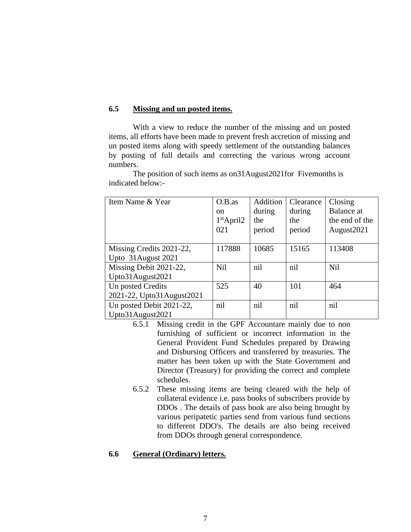#### **6.5 Missing and un posted items.**

With a view to reduce the number of the missing and un posted items, all efforts have been made to prevent fresh accretion of missing and un posted items along with speedy settlement of the outstanding balances by posting of full details and correcting the various wrong account numbers.

The position of such items as on31August2021for Fivemonths is indicated below:-

| Item Name & Year          | $O.B.$ as    | Addition | Clearance | Closing                |
|---------------------------|--------------|----------|-----------|------------------------|
|                           | on           | during   | during    | Balance at             |
|                           | $1st$ April2 | the      | the       | the end of the         |
|                           | 021          | period   | period    | August <sub>2021</sub> |
|                           |              |          |           |                        |
| Missing Credits 2021-22,  | 117888       | 10685    | 15165     | 113408                 |
| Upto 31August 2021        |              |          |           |                        |
| Missing Debit 2021-22,    | <b>Nil</b>   | nil      | nil       | <b>Nil</b>             |
| Upto31August2021          |              |          |           |                        |
| Un posted Credits         | 525          | 40       | 101       | 464                    |
| 2021-22, Upto31August2021 |              |          |           |                        |
| Un posted Debit 2021-22,  | nil          | nil      | nil       | nil                    |
| Upto31August2021          |              |          |           |                        |

- 6.5.1 Missing credit in the GPF Accountare mainly due to non furnishing of sufficient or incorrect information in the General Provident Fund Schedules prepared by Drawing and Disbursing Officers and transferred by treasuries. The matter has been taken up with the State Government and Director (Treasury) for providing the correct and complete schedules.
- 6.5.2 These missing items are being cleared with the help of collateral evidence i.e. pass books of subscribers provide by DDOs . The details of pass book are also being brought by various peripatetic parties send from various fund sections to different DDO's. The details are also being received from DDOs through general correspondence.

#### **6.6 General (Ordinary) letters.**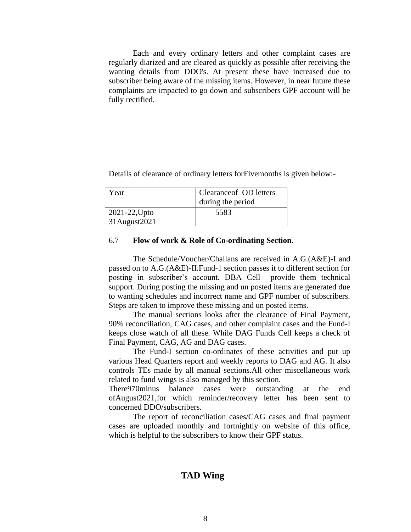Each and every ordinary letters and other complaint cases are regularly diarized and are cleared as quickly as possible after receiving the wanting details from DDO's. At present these have increased due to subscriber being aware of the missing items. However, in near future these complaints are impacted to go down and subscribers GPF account will be fully rectified.

Details of clearance of ordinary letters forFivemonths is given below:-

| Year               | Clearance of OD letters |
|--------------------|-------------------------|
|                    | during the period       |
| 2021-22, Upto      | 5583                    |
| $31$ August $2021$ |                         |

#### 6.7 **Flow of work & Role of Co-ordinating Section**.

The Schedule/Voucher/Challans are received in A.G.(A&E)-I and passed on to A.G.(A&E)-II.Fund-1 section passes it to different section for posting in subscriber's account. DBA Cell provide them technical support. During posting the missing and un posted items are generated due to wanting schedules and incorrect name and GPF number of subscribers. Steps are taken to improve these missing and un posted items.

The manual sections looks after the clearance of Final Payment, 90% reconciliation, CAG cases, and other complaint cases and the Fund-I keeps close watch of all these. While DAG Funds Cell keeps a check of Final Payment, CAG, AG and DAG cases.

The Fund-I section co-ordinates of these activities and put up various Head Quarters report and weekly reports to DAG and AG. It also controls TEs made by all manual sections.All other miscellaneous work related to fund wings is also managed by this section.

There970minus balance cases were outstanding at the end ofAugust2021,for which reminder/recovery letter has been sent to concerned DDO/subscribers.

The report of reconciliation cases/CAG cases and final payment cases are uploaded monthly and fortnightly on website of this office, which is helpful to the subscribers to know their GPF status.

#### **TAD Wing**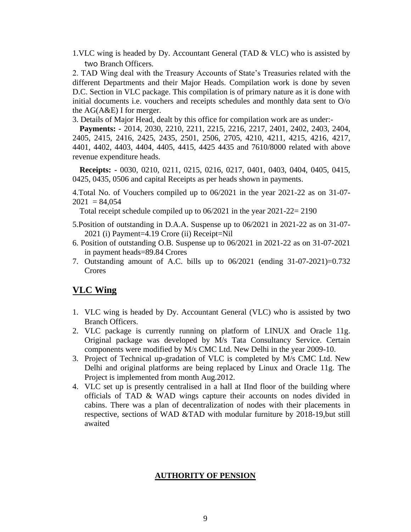1.VLC wing is headed by Dy. Accountant General (TAD & VLC) who is assisted by two Branch Officers.

2. TAD Wing deal with the Treasury Accounts of State's Treasuries related with the different Departments and their Major Heads. Compilation work is done by seven D.C. Section in VLC package. This compilation is of primary nature as it is done with initial documents i.e. vouchers and receipts schedules and monthly data sent to O/o the AG(A&E) I for merger.

3. Details of Major Head, dealt by this office for compilation work are as under:-

**Payments: -** 2014, 2030, 2210, 2211, 2215, 2216, 2217, 2401, 2402, 2403, 2404, 2405, 2415, 2416, 2425, 2435, 2501, 2506, 2705, 4210, 4211, 4215, 4216, 4217, 4401, 4402, 4403, 4404, 4405, 4415, 4425 4435 and 7610/8000 related with above revenue expenditure heads.

**Receipts: -** 0030, 0210, 0211, 0215, 0216, 0217, 0401, 0403, 0404, 0405, 0415, 0425, 0435, 0506 and capital Receipts as per heads shown in payments.

4.Total No. of Vouchers compiled up to 06/2021 in the year 2021-22 as on 31-07-  $2021 = 84.054$ 

Total receipt schedule compiled up to 06/2021 in the year 2021-22= 2190

- 5.Position of outstanding in D.A.A. Suspense up to 06/2021 in 2021-22 as on 31-07- 2021 (i) Payment=4.19 Crore (ii) Receipt=Nil
- 6. Position of outstanding O.B. Suspense up to 06/2021 in 2021-22 as on 31-07-2021 in payment heads=89.84 Crores
- 7. Outstanding amount of A.C. bills up to 06/2021 (ending 31-07-2021)=0.732 Crores

### **VLC Wing**

- 1. VLC wing is headed by Dy. Accountant General (VLC) who is assisted by two Branch Officers.
- 2. VLC package is currently running on platform of LINUX and Oracle 11g. Original package was developed by M/s Tata Consultancy Service. Certain components were modified by M/s CMC Ltd. New Delhi in the year 2009-10.
- 3. Project of Technical up-gradation of VLC is completed by M/s CMC Ltd. New Delhi and original platforms are being replaced by Linux and Oracle 11g. The Project is implemented from month Aug.2012.
- 4. VLC set up is presently centralised in a hall at IInd floor of the building where officials of TAD & WAD wings capture their accounts on nodes divided in cabins. There was a plan of decentralization of nodes with their placements in respective, sections of WAD &TAD with modular furniture by 2018-19,but still awaited

#### **AUTHORITY OF PENSION**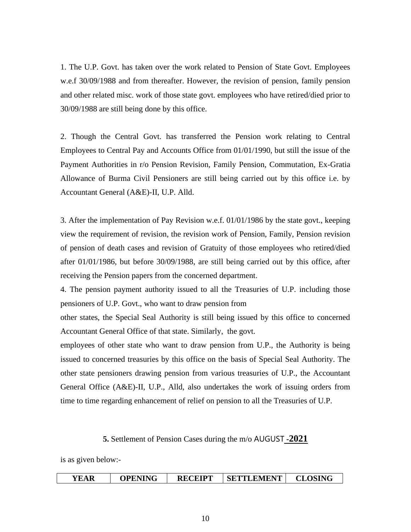1. The U.P. Govt. has taken over the work related to Pension of State Govt. Employees w.e.f 30/09/1988 and from thereafter. However, the revision of pension, family pension and other related misc. work of those state govt. employees who have retired/died prior to 30/09/1988 are still being done by this office.

2. Though the Central Govt. has transferred the Pension work relating to Central Employees to Central Pay and Accounts Office from 01/01/1990, but still the issue of the Payment Authorities in r/o Pension Revision, Family Pension, Commutation, Ex-Gratia Allowance of Burma Civil Pensioners are still being carried out by this office i.e. by Accountant General (A&E)-II, U.P. Alld.

3. After the implementation of Pay Revision w.e.f. 01/01/1986 by the state govt., keeping view the requirement of revision, the revision work of Pension, Family, Pension revision of pension of death cases and revision of Gratuity of those employees who retired/died after 01/01/1986, but before 30/09/1988, are still being carried out by this office, after receiving the Pension papers from the concerned department.

4. The pension payment authority issued to all the Treasuries of U.P. including those pensioners of U.P. Govt., who want to draw pension from

other states, the Special Seal Authority is still being issued by this office to concerned Accountant General Office of that state. Similarly, the govt.

employees of other state who want to draw pension from U.P., the Authority is being issued to concerned treasuries by this office on the basis of Special Seal Authority. The other state pensioners drawing pension from various treasuries of U.P., the Accountant General Office (A&E)-II, U.P., Alld, also undertakes the work of issuing orders from time to time regarding enhancement of relief on pension to all the Treasuries of U.P.

#### **5.** Settlement of Pension Cases during the m/o AUGUST **-2021**

is as given below:-

| YEAR | <b>DPENING</b> | <b>RECEIPT</b> | <b>SETTLEMENT</b> | <b>CLOSING</b> |
|------|----------------|----------------|-------------------|----------------|
|------|----------------|----------------|-------------------|----------------|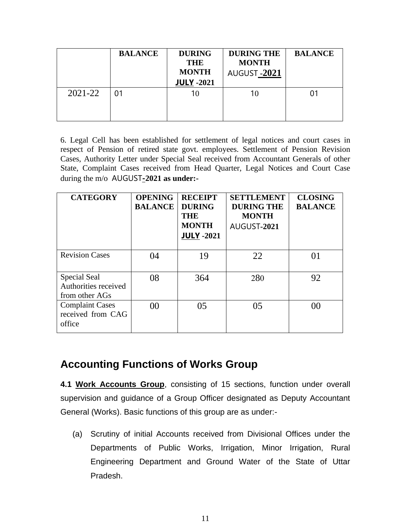|         | <b>BALANCE</b> | <b>DURING</b><br><b>THE</b><br><b>MONTH</b><br><b>JULY -2021</b> | <b>DURING THE</b><br><b>MONTH</b><br><b>AUGUST-2021</b> | <b>BALANCE</b> |
|---------|----------------|------------------------------------------------------------------|---------------------------------------------------------|----------------|
| 2021-22 | 01             | 10                                                               | 10                                                      |                |

6. Legal Cell has been established for settlement of legal notices and court cases in respect of Pension of retired state govt. employees. Settlement of Pension Revision Cases, Authority Letter under Special Seal received from Accountant Generals of other State, Complaint Cases received from Head Quarter, Legal Notices and Court Case during the m/o AUGUST**-2021 as under:-**

| <b>CATEGORY</b>                                        | <b>OPENING</b><br><b>BALANCE</b> | <b>RECEIPT</b><br><b>DURING</b><br><b>THE</b><br><b>MONTH</b><br><b>JULY -2021</b> | <b>SETTLEMENT</b><br><b>DURING THE</b><br><b>MONTH</b><br>AUGUST-2021 | <b>CLOSING</b><br><b>BALANCE</b> |
|--------------------------------------------------------|----------------------------------|------------------------------------------------------------------------------------|-----------------------------------------------------------------------|----------------------------------|
| <b>Revision Cases</b>                                  | 04                               | 19                                                                                 | 22                                                                    | $\Omega$                         |
| Special Seal<br>Authorities received<br>from other AGs | 08                               | 364                                                                                | 280                                                                   | 92                               |
| <b>Complaint Cases</b><br>received from CAG<br>office  | $00\,$                           | 05                                                                                 | 0 <sub>5</sub>                                                        | 0 <sup>0</sup>                   |

## **Accounting Functions of Works Group**

**4.1 Work Accounts Group**, consisting of 15 sections, function under overall supervision and guidance of a Group Officer designated as Deputy Accountant General (Works). Basic functions of this group are as under:-

(a) Scrutiny of initial Accounts received from Divisional Offices under the Departments of Public Works, Irrigation, Minor Irrigation, Rural Engineering Department and Ground Water of the State of Uttar Pradesh.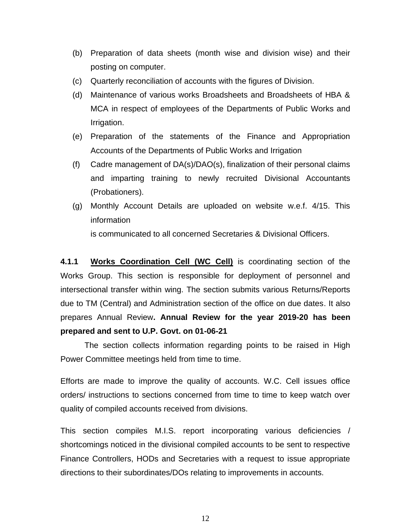- (b) Preparation of data sheets (month wise and division wise) and their posting on computer.
- (c) Quarterly reconciliation of accounts with the figures of Division.
- (d) Maintenance of various works Broadsheets and Broadsheets of HBA & MCA in respect of employees of the Departments of Public Works and Irrigation.
- (e) Preparation of the statements of the Finance and Appropriation Accounts of the Departments of Public Works and Irrigation
- (f) Cadre management of DA(s)/DAO(s), finalization of their personal claims and imparting training to newly recruited Divisional Accountants (Probationers).
- (g) Monthly Account Details are uploaded on website w.e.f. 4/15. This information

is communicated to all concerned Secretaries & Divisional Officers.

**4.1.1 Works Coordination Cell (WC Cell)** is coordinating section of the Works Group. This section is responsible for deployment of personnel and intersectional transfer within wing. The section submits various Returns/Reports due to TM (Central) and Administration section of the office on due dates. It also prepares Annual Review**. Annual Review for the year 2019-20 has been prepared and sent to U.P. Govt. on 01-06-21**

The section collects information regarding points to be raised in High Power Committee meetings held from time to time.

Efforts are made to improve the quality of accounts. W.C. Cell issues office orders/ instructions to sections concerned from time to time to keep watch over quality of compiled accounts received from divisions.

This section compiles M.I.S. report incorporating various deficiencies / shortcomings noticed in the divisional compiled accounts to be sent to respective Finance Controllers, HODs and Secretaries with a request to issue appropriate directions to their subordinates/DOs relating to improvements in accounts.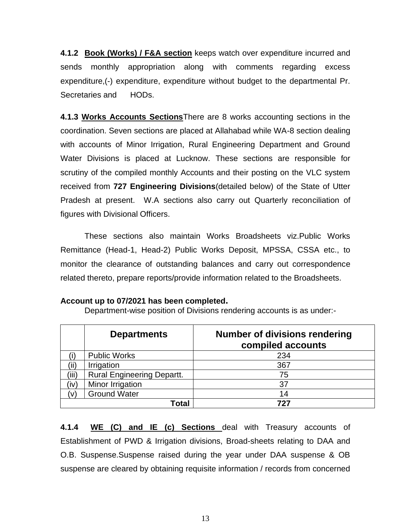**4.1.2 Book (Works) / F&A section** keeps watch over expenditure incurred and sends monthly appropriation along with comments regarding excess expenditure,(-) expenditure, expenditure without budget to the departmental Pr. Secretaries and HODs.

**4.1.3 Works Accounts Sections**There are 8 works accounting sections in the coordination. Seven sections are placed at Allahabad while WA-8 section dealing with accounts of Minor Irrigation, Rural Engineering Department and Ground Water Divisions is placed at Lucknow. These sections are responsible for scrutiny of the compiled monthly Accounts and their posting on the VLC system received from **727 Engineering Divisions**(detailed below) of the State of Utter Pradesh at present. W.A sections also carry out Quarterly reconciliation of figures with Divisional Officers.

These sections also maintain Works Broadsheets viz.Public Works Remittance (Head-1, Head-2) Public Works Deposit, MPSSA, CSSA etc., to monitor the clearance of outstanding balances and carry out correspondence related thereto, prepare reports/provide information related to the Broadsheets.

#### **Account up to 07/2021 has been completed.**

Department-wise position of Divisions rendering accounts is as under:-

|       | <b>Departments</b>                | <b>Number of divisions rendering</b><br>compiled accounts |
|-------|-----------------------------------|-----------------------------------------------------------|
|       | <b>Public Works</b>               | 234                                                       |
| (ii)  | Irrigation                        | 367                                                       |
| (iii) | <b>Rural Engineering Departt.</b> | 75                                                        |
| (iv)  | Minor Irrigation                  | 37                                                        |
| (v)   | <b>Ground Water</b>               | 14                                                        |
|       | Γotal                             | 727                                                       |

**4.1.4 WE (C) and IE (c) Sections** deal with Treasury accounts of Establishment of PWD & Irrigation divisions, Broad-sheets relating to DAA and O.B. Suspense.Suspense raised during the year under DAA suspense & OB suspense are cleared by obtaining requisite information / records from concerned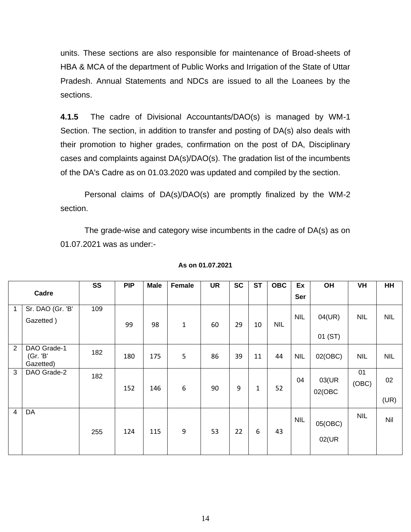units. These sections are also responsible for maintenance of Broad-sheets of HBA & MCA of the department of Public Works and Irrigation of the State of Uttar Pradesh. Annual Statements and NDCs are issued to all the Loanees by the sections.

**4.1.5** The cadre of Divisional Accountants/DAO(s) is managed by WM-1 Section. The section, in addition to transfer and posting of DA(s) also deals with their promotion to higher grades, confirmation on the post of DA, Disciplinary cases and complaints against DA(s)/DAO(s). The gradation list of the incumbents of the DA's Cadre as on 01.03.2020 was updated and compiled by the section.

Personal claims of DA(s)/DAO(s) are promptly finalized by the WM-2 section.

The grade-wise and category wise incumbents in the cadre of DA(s) as on 01.07.2021 was as under:-

|                |                                      | SS  | <b>PIP</b> | <b>Male</b> | Female       | <b>UR</b> | <b>SC</b> | <b>ST</b>    | <b>OBC</b> | Ex         | OH                | VH          | HH         |
|----------------|--------------------------------------|-----|------------|-------------|--------------|-----------|-----------|--------------|------------|------------|-------------------|-------------|------------|
| Cadre          |                                      |     |            |             |              |           |           |              |            | Ser        |                   |             |            |
|                | Sr. DAO (Gr. 'B'<br>Gazetted)        | 109 | 99         | 98          | $\mathbf{1}$ | 60        | 29        | 10           | <b>NIL</b> | <b>NIL</b> | 04(UR)<br>01 (ST) | <b>NIL</b>  | <b>NIL</b> |
| 2              | DAO Grade-1<br>(Gr. 'B'<br>Gazetted) | 182 | 180        | 175         | 5            | 86        | 39        | 11           | 44         | <b>NIL</b> | 02(OBC)           | <b>NIL</b>  | <b>NIL</b> |
| 3              | DAO Grade-2                          | 182 | 152        | 146         | 6            | 90        | 9         | $\mathbf{1}$ | 52         | 04         | 03(UR<br>02(OBC   | 01<br>(OBC) | 02<br>(UR) |
| $\overline{4}$ | DA                                   | 255 | 124        | 115         | 9            | 53        | 22        | 6            | 43         | <b>NIL</b> | 05(OBC)<br>02(UR  | <b>NIL</b>  | Nil        |

#### **As on 01.07.2021**